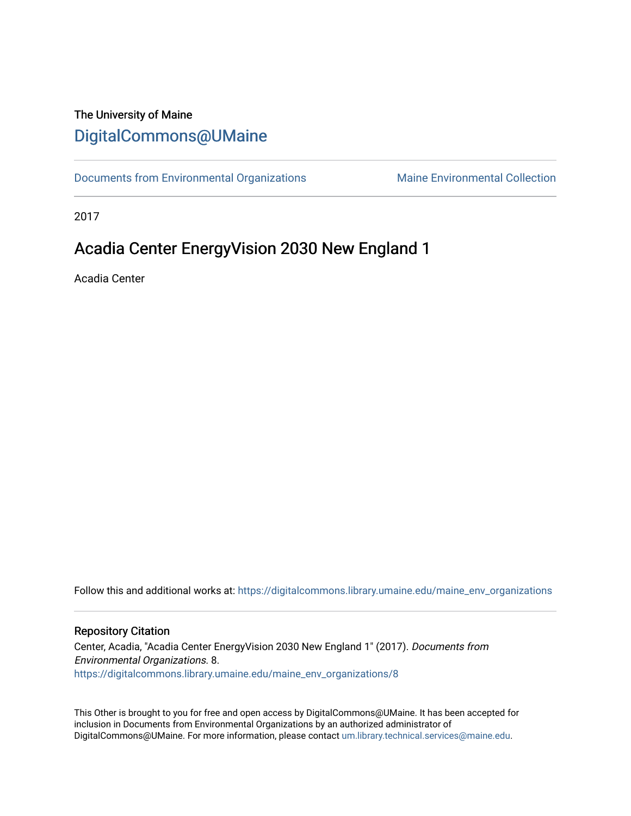# The University of Maine [DigitalCommons@UMaine](https://digitalcommons.library.umaine.edu/)

[Documents from Environmental Organizations](https://digitalcommons.library.umaine.edu/maine_env_organizations) Maine Environmental Collection

2017

# Acadia Center EnergyVision 2030 New England 1

Acadia Center

Follow this and additional works at: [https://digitalcommons.library.umaine.edu/maine\\_env\\_organizations](https://digitalcommons.library.umaine.edu/maine_env_organizations?utm_source=digitalcommons.library.umaine.edu%2Fmaine_env_organizations%2F8&utm_medium=PDF&utm_campaign=PDFCoverPages)

#### Repository Citation

Center, Acadia, "Acadia Center EnergyVision 2030 New England 1" (2017). Documents from Environmental Organizations. 8. [https://digitalcommons.library.umaine.edu/maine\\_env\\_organizations/8](https://digitalcommons.library.umaine.edu/maine_env_organizations/8?utm_source=digitalcommons.library.umaine.edu%2Fmaine_env_organizations%2F8&utm_medium=PDF&utm_campaign=PDFCoverPages) 

This Other is brought to you for free and open access by DigitalCommons@UMaine. It has been accepted for inclusion in Documents from Environmental Organizations by an authorized administrator of DigitalCommons@UMaine. For more information, please contact [um.library.technical.services@maine.edu](mailto:um.library.technical.services@maine.edu).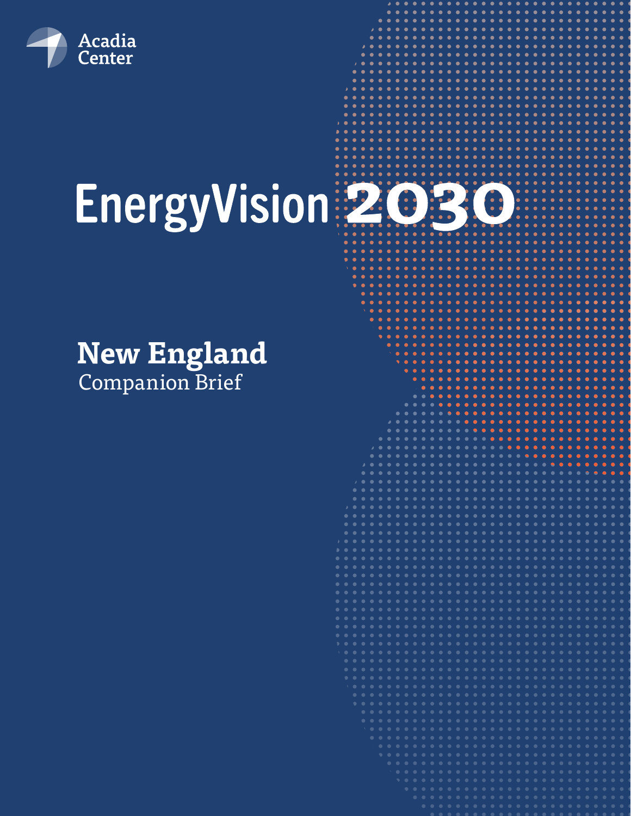

# EnergyVision 2030

**New England** Companion Brief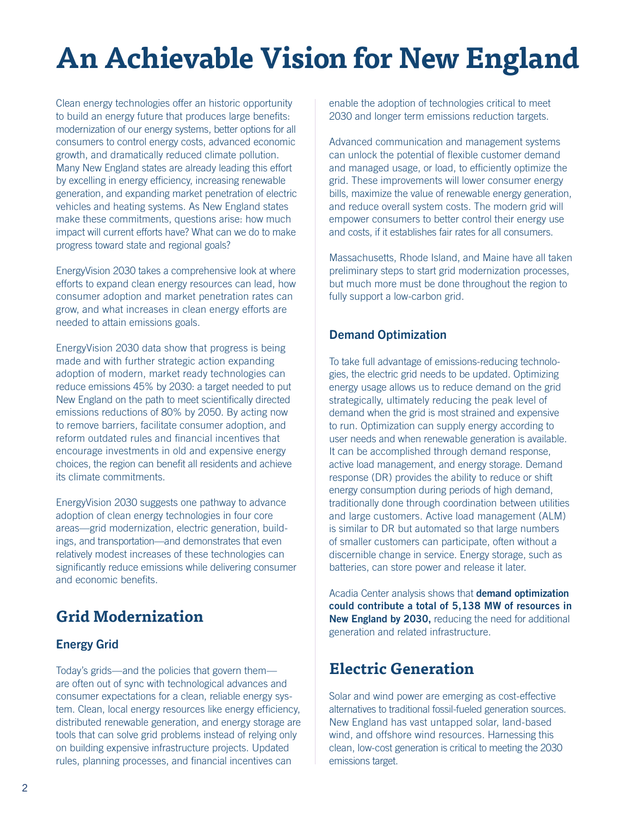# **An Achievable Vision for New England**

Clean energy technologies offer an historic opportunity to build an energy future that produces large benefits: modernization of our energy systems, better options for all consumers to control energy costs, advanced economic growth, and dramatically reduced climate pollution. Many New England states are already leading this effort by excelling in energy efficiency, increasing renewable generation, and expanding market penetration of electric vehicles and heating systems. As New England states make these commitments, questions arise: how much impact will current efforts have? What can we do to make progress toward state and regional goals?

EnergyVision 2030 takes a comprehensive look at where efforts to expand clean energy resources can lead, how consumer adoption and market penetration rates can grow, and what increases in clean energy efforts are needed to attain emissions goals.

EnergyVision 2030 data show that progress is being made and with further strategic action expanding adoption of modern, market ready technologies can reduce emissions 45% by 2030: a target needed to put New England on the path to meet scientifically directed emissions reductions of 80% by 2050. By acting now to remove barriers, facilitate consumer adoption, and reform outdated rules and financial incentives that encourage investments in old and expensive energy choices, the region can benefit all residents and achieve its climate commitments.

EnergyVision 2030 suggests one pathway to advance adoption of clean energy technologies in four core areas—grid modernization, electric generation, buildings, and transportation—and demonstrates that even relatively modest increases of these technologies can significantly reduce emissions while delivering consumer and economic benefits.

# **Grid Modernization**

#### Energy Grid

Today's grids—and the policies that govern them are often out of sync with technological advances and consumer expectations for a clean, reliable energy system. Clean, local energy resources like energy efficiency, distributed renewable generation, and energy storage are tools that can solve grid problems instead of relying only on building expensive infrastructure projects. Updated rules, planning processes, and financial incentives can

enable the adoption of technologies critical to meet 2030 and longer term emissions reduction targets.

Advanced communication and management systems can unlock the potential of flexible customer demand and managed usage, or load, to efficiently optimize the grid. These improvements will lower consumer energy bills, maximize the value of renewable energy generation, and reduce overall system costs. The modern grid will empower consumers to better control their energy use and costs, if it establishes fair rates for all consumers.

Massachusetts, Rhode Island, and Maine have all taken preliminary steps to start grid modernization processes, but much more must be done throughout the region to fully support a low-carbon grid.

#### Demand Optimization

To take full advantage of emissions-reducing technologies, the electric grid needs to be updated. Optimizing energy usage allows us to reduce demand on the grid strategically, ultimately reducing the peak level of demand when the grid is most strained and expensive to run. Optimization can supply energy according to user needs and when renewable generation is available. It can be accomplished through demand response, active load management, and energy storage. Demand response (DR) provides the ability to reduce or shift energy consumption during periods of high demand, traditionally done through coordination between utilities and large customers. Active load management (ALM) is similar to DR but automated so that large numbers of smaller customers can participate, often without a discernible change in service. Energy storage, such as batteries, can store power and release it later.

Acadia Center analysis shows that **demand optimization could contribute a total of 5,138 MW of resources in New England by 2030,** reducing the need for additional generation and related infrastructure.

# **Electric Generation**

Solar and wind power are emerging as cost-effective alternatives to traditional fossil-fueled generation sources. New England has vast untapped solar, land-based wind, and offshore wind resources. Harnessing this clean, low-cost generation is critical to meeting the 2030 emissions target.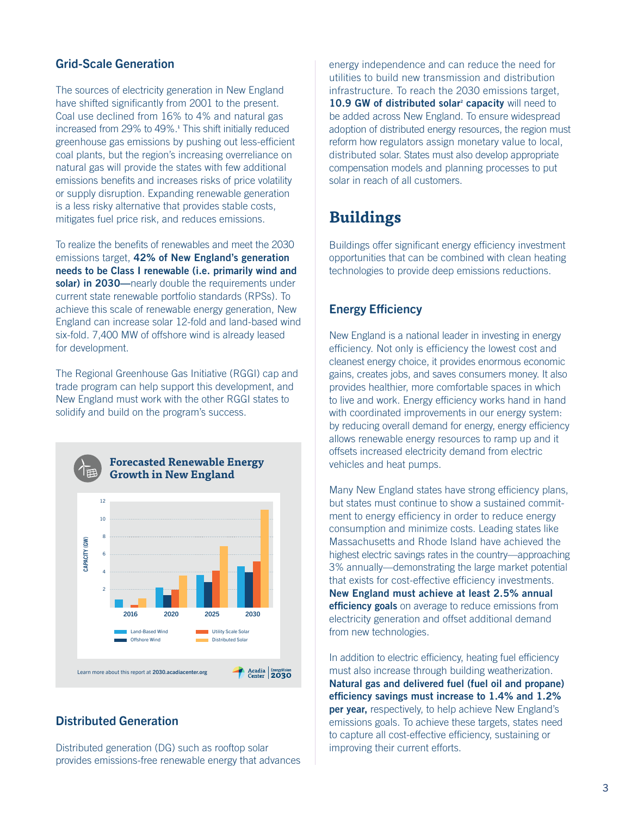#### Grid-Scale Generation

The sources of electricity generation in New England have shifted significantly from 2001 to the present. Coal use declined from 16% to 4% and natural gas increased from 29% to 49%.**<sup>1</sup>** This shift initially reduced greenhouse gas emissions by pushing out less-efficient coal plants, but the region's increasing overreliance on natural gas will provide the states with few additional emissions benefits and increases risks of price volatility or supply disruption. Expanding renewable generation is a less risky alternative that provides stable costs, mitigates fuel price risk, and reduces emissions.

To realize the benefits of renewables and meet the 2030 emissions target, **42% of New England's generation needs to be Class I renewable (i.e. primarily wind and solar) in 2030—**nearly double the requirements under current state renewable portfolio standards (RPSs). To achieve this scale of renewable energy generation, New England can increase solar 12-fold and land-based wind six-fold. 7,400 MW of offshore wind is already leased for development.

The Regional Greenhouse Gas Initiative (RGGI) cap and trade program can help support this development, and New England must work with the other RGGI states to solidify and build on the program's success.



#### Distributed Generation

Distributed generation (DG) such as rooftop solar provides emissions-free renewable energy that advances

energy independence and can reduce the need for utilities to build new transmission and distribution infrastructure. To reach the 2030 emissions target, 10.9 GW of distributed solar<sup>2</sup> capacity will need to be added across New England. To ensure widespread adoption of distributed energy resources, the region must reform how regulators assign monetary value to local, distributed solar. States must also develop appropriate compensation models and planning processes to put solar in reach of all customers.

# **Buildings**

Buildings offer significant energy efficiency investment opportunities that can be combined with clean heating technologies to provide deep emissions reductions.

#### Energy Efficiency

New England is a national leader in investing in energy efficiency. Not only is efficiency the lowest cost and cleanest energy choice, it provides enormous economic gains, creates jobs, and saves consumers money. It also provides healthier, more comfortable spaces in which to live and work. Energy efficiency works hand in hand with coordinated improvements in our energy system: by reducing overall demand for energy, energy efficiency allows renewable energy resources to ramp up and it offsets increased electricity demand from electric vehicles and heat pumps.

Many New England states have strong efficiency plans, but states must continue to show a sustained commitment to energy efficiency in order to reduce energy consumption and minimize costs. Leading states like Massachusetts and Rhode Island have achieved the highest electric savings rates in the country—approaching 3% annually—demonstrating the large market potential that exists for cost-effective efficiency investments. **New England must achieve at least 2.5% annual efficiency goals** on average to reduce emissions from electricity generation and offset additional demand from new technologies.

In addition to electric efficiency, heating fuel efficiency must also increase through building weatherization. **Natural gas and delivered fuel (fuel oil and propane) efficiency savings must increase to 1.4% and 1.2% per year,** respectively, to help achieve New England's emissions goals. To achieve these targets, states need to capture all cost-effective efficiency, sustaining or improving their current efforts.